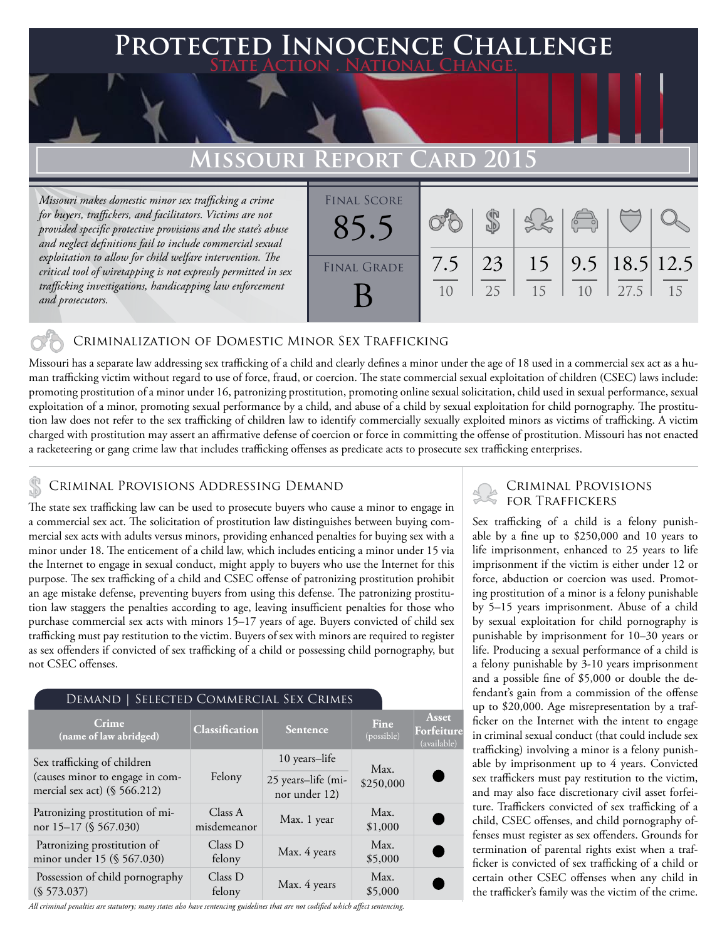## **Protected Innocence Challenge State Action . National Change.**

## **Missouri Report Card 2015**

*Missouri makes domestic minor sex trafficking a crime for buyers, traffickers, and facilitators. Victims are not provided specific protective provisions and the state's abuse and neglect definitions fail to include commercial sexual exploitation to allow for child welfare intervention. The critical tool of wiretapping is not expressly permitted in sex trafficking investigations, handicapping law enforcement and prosecutors.*

| <b>FINAL SCORE</b> |     |           |          | $\sqrt{2}$ |                             |    |
|--------------------|-----|-----------|----------|------------|-----------------------------|----|
| <b>FINAL GRADE</b> | 7.5 | 23<br>2.5 | 15<br>15 | 10         | $9.5$   18.5   12.5<br>27.5 | 15 |

### Criminalization of Domestic Minor Sex Trafficking

Missouri has a separate law addressing sex trafficking of a child and clearly defines a minor under the age of 18 used in a commercial sex act as a human trafficking victim without regard to use of force, fraud, or coercion. The state commercial sexual exploitation of children (CSEC) laws include: promoting prostitution of a minor under 16, patronizing prostitution, promoting online sexual solicitation, child used in sexual performance, sexual exploitation of a minor, promoting sexual performance by a child, and abuse of a child by sexual exploitation for child pornography. The prostitution law does not refer to the sex trafficking of children law to identify commercially sexually exploited minors as victims of trafficking. A victim charged with prostitution may assert an affirmative defense of coercion or force in committing the offense of prostitution. Missouri has not enacted a racketeering or gang crime law that includes trafficking offenses as predicate acts to prosecute sex trafficking enterprises.

## Criminal Provisions Addressing Demand

The state sex trafficking law can be used to prosecute buyers who cause a minor to engage in a commercial sex act. The solicitation of prostitution law distinguishes between buying commercial sex acts with adults versus minors, providing enhanced penalties for buying sex with a minor under 18. The enticement of a child law, which includes enticing a minor under 15 via the Internet to engage in sexual conduct, might apply to buyers who use the Internet for this purpose. The sex trafficking of a child and CSEC offense of patronizing prostitution prohibit an age mistake defense, preventing buyers from using this defense. The patronizing prostitution law staggers the penalties according to age, leaving insufficient penalties for those who purchase commercial sex acts with minors 15–17 years of age. Buyers convicted of child sex trafficking must pay restitution to the victim. Buyers of sex with minors are required to register as sex offenders if convicted of sex trafficking of a child or possessing child pornography, but not CSEC offenses.

#### Demand | Selected Commercial Sex Crimes

| <b>Crime</b><br>(name of law abridged)                             | Classification         | Sentence                            | Fine<br>(possible) | Asset<br>Forfeiture<br>(available) |
|--------------------------------------------------------------------|------------------------|-------------------------------------|--------------------|------------------------------------|
| Sex trafficking of children                                        | Felony                 | 10 years-life                       | Max.               |                                    |
| (causes minor to engage in com-<br>mercial sex act) $(\S 566.212)$ |                        | 25 years-life (mi-<br>nor under 12) | \$250,000          | C                                  |
| Patronizing prostitution of mi-<br>nor 15-17 (§ 567.030)           | Class A<br>misdemeanor | Max. 1 year                         | Max.<br>\$1,000    | C                                  |
| Patronizing prostitution of<br>minor under 15 (§ 567.030)          | Class D<br>felony      | Max. 4 years                        | Max.<br>\$5,000    | C                                  |
| Possession of child pornography<br>(S 573.037)                     | Class D<br>felony      | Max. 4 years                        | Max.<br>\$5,000    |                                    |

*All criminal penalties are statutory; many states also have sentencing guidelines that are not codified which affect sentencing.* 

# Criminal Provisions

Sex trafficking of a child is a felony punishable by a fine up to \$250,000 and 10 years to life imprisonment, enhanced to 25 years to life imprisonment if the victim is either under 12 or force, abduction or coercion was used. Promoting prostitution of a minor is a felony punishable by 5–15 years imprisonment. Abuse of a child by sexual exploitation for child pornography is punishable by imprisonment for 10–30 years or life. Producing a sexual performance of a child is a felony punishable by 3-10 years imprisonment and a possible fine of \$5,000 or double the defendant's gain from a commission of the offense up to \$20,000. Age misrepresentation by a trafficker on the Internet with the intent to engage in criminal sexual conduct (that could include sex trafficking) involving a minor is a felony punishable by imprisonment up to 4 years. Convicted sex traffickers must pay restitution to the victim, and may also face discretionary civil asset forfeiture. Traffickers convicted of sex trafficking of a child, CSEC offenses, and child pornography offenses must register as sex offenders. Grounds for termination of parental rights exist when a trafficker is convicted of sex trafficking of a child or certain other CSEC offenses when any child in the trafficker's family was the victim of the crime.